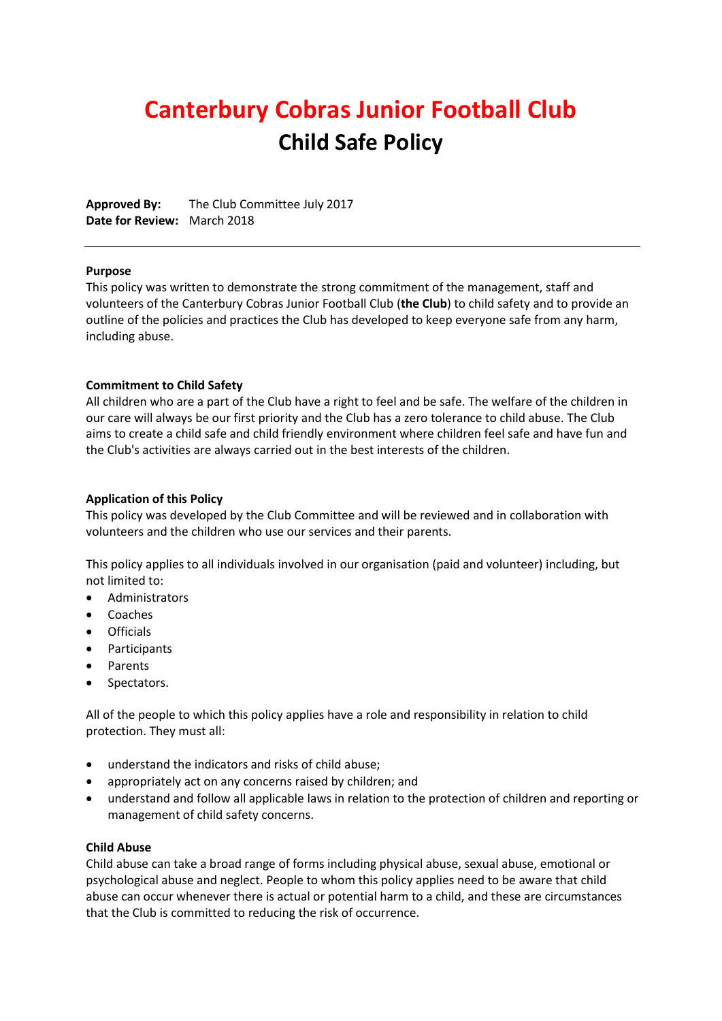# **Canterbury Cobras Junior Football Club Child Safe Policy**

**Approved By:** The Club Committee July 2017 **Date for Review:** March 2018

#### **Purpose**

This policy was written to demonstrate the strong commitment of the management, staff and volunteers of the Canterbury Cobras Junior Football Club (**the Club**) to child safety and to provide an outline of the policies and practices the Club has developed to keep everyone safe from any harm, including abuse.

#### **Commitment to Child Safety**

All children who are a part of the Club have a right to feel and be safe. The welfare of the children in our care will always be our first priority and the Club has a zero tolerance to child abuse. The Club aims to create a child safe and child friendly environment where children feel safe and have fun and the Club's activities are always carried out in the best interests of the children.

#### **Application of this Policy**

This policy was developed by the Club Committee and will be reviewed and in collaboration with volunteers and the children who use our services and their parents.

This policy applies to all individuals involved in our organisation (paid and volunteer) including, but not limited to:

- Administrators
- Coaches
- Officials
- Participants
- Parents
- Spectators.

All of the people to which this policy applies have a role and responsibility in relation to child protection. They must all:

- understand the indicators and risks of child abuse;
- appropriately act on any concerns raised by children; and
- understand and follow all applicable laws in relation to the protection of children and reporting or management of child safety concerns.

#### **Child Abuse**

Child abuse can take a broad range of forms including physical abuse, sexual abuse, emotional or psychological abuse and neglect. People to whom this policy applies need to be aware that child abuse can occur whenever there is actual or potential harm to a child, and these are circumstances that the Club is committed to reducing the risk of occurrence.